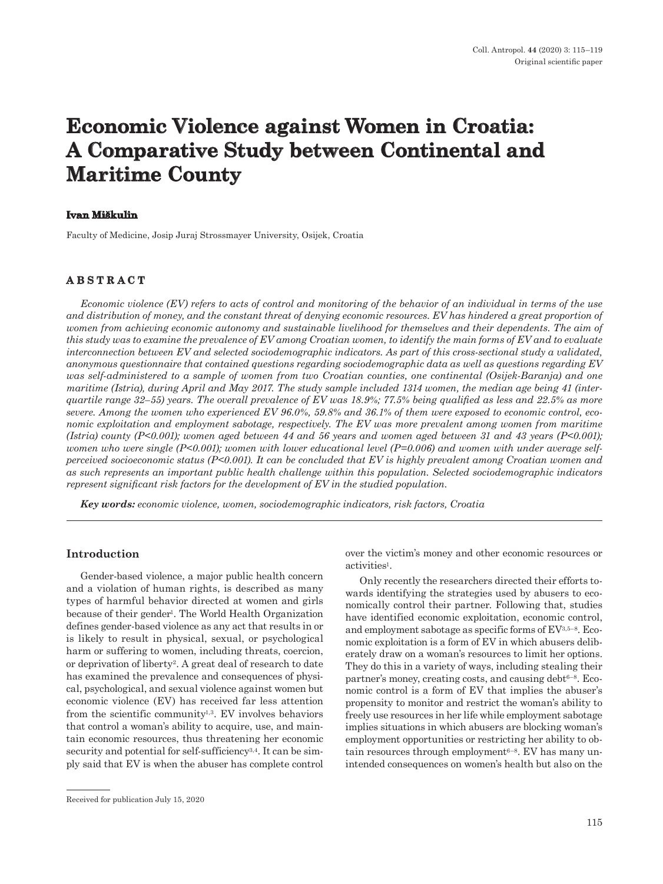# **Economic Violence against Women in Croatia: A Comparative Study between Continental and Maritime County**

## **Ivan Miškulin**

Faculty of Medicine, Josip Juraj Strossmayer University, Osijek, Croatia

# **ABSTRACT**

*Economic violence (EV) refers to acts of control and monitoring of the behavior of an individual in terms of the use and distribution of money, and the constant threat of denying economic resources. EV has hindered a great proportion of women from achieving economic autonomy and sustainable livelihood for themselves and their dependents. The aim of this study was to examine the prevalence of EV among Croatian women, to identify the main forms of EV and to evaluate interconnection between EV and selected sociodemographic indicators. As part of this cross-sectional study a validated, anonymous questionnaire that contained questions regarding sociodemographic data as well as questions regarding EV was self-administered to a sample of women from two Croatian counties, one continental (Osijek-Baranja) and one maritime (Istria), during April and May 2017. The study sample included 1314 women, the median age being 41 (interquartile range 32–55) years. The overall prevalence of EV was 18.9%; 77.5% being qualified as less and 22.5% as more severe. Among the women who experienced EV 96.0%, 59.8% and 36.1% of them were exposed to economic control, economic exploitation and employment sabotage, respectively. The EV was more prevalent among women from maritime (Istria) county (P<0.001); women aged between 44 and 56 years and women aged between 31 and 43 years (P<0.001); women who were single (P<0.001); women with lower educational level (P=0.006) and women with under average selfperceived socioeconomic status (P<0.001). It can be concluded that EV is highly prevalent among Croatian women and as such represents an important public health challenge within this population. Selected sociodemographic indicators represent significant risk factors for the development of EV in the studied population.*

*Key words: economic violence, women, sociodemographic indicators, risk factors, Croatia*

## **Introduction**

Gender-based violence, a major public health concern and a violation of human rights, is described as many types of harmful behavior directed at women and girls because of their gender<sup>1</sup>. The World Health Organization defines gender-based violence as any act that results in or is likely to result in physical, sexual, or psychological harm or suffering to women, including threats, coercion, or deprivation of liberty2. A great deal of research to date has examined the prevalence and consequences of physical, psychological, and sexual violence against women but economic violence (EV) has received far less attention from the scientific community<sup>1,3</sup>. EV involves behaviors that control a woman's ability to acquire, use, and maintain economic resources, thus threatening her economic security and potential for self-sufficiency<sup>3,4</sup>. It can be simply said that EV is when the abuser has complete control over the victim's money and other economic resources or activities1.

Only recently the researchers directed their efforts towards identifying the strategies used by abusers to economically control their partner. Following that, studies have identified economic exploitation, economic control, and employment sabotage as specific forms of EV3,5–8. Economic exploitation is a form of EV in which abusers deliberately draw on a woman's resources to limit her options. They do this in a variety of ways, including stealing their partner's money, creating costs, and causing debt $6-8$ . Economic control is a form of EV that implies the abuser's propensity to monitor and restrict the woman's ability to freely use resources in her life while employment sabotage implies situations in which abusers are blocking woman's employment opportunities or restricting her ability to obtain resources through employment $6-8$ . EV has many unintended consequences on women's health but also on the

Received for publication July 15, 2020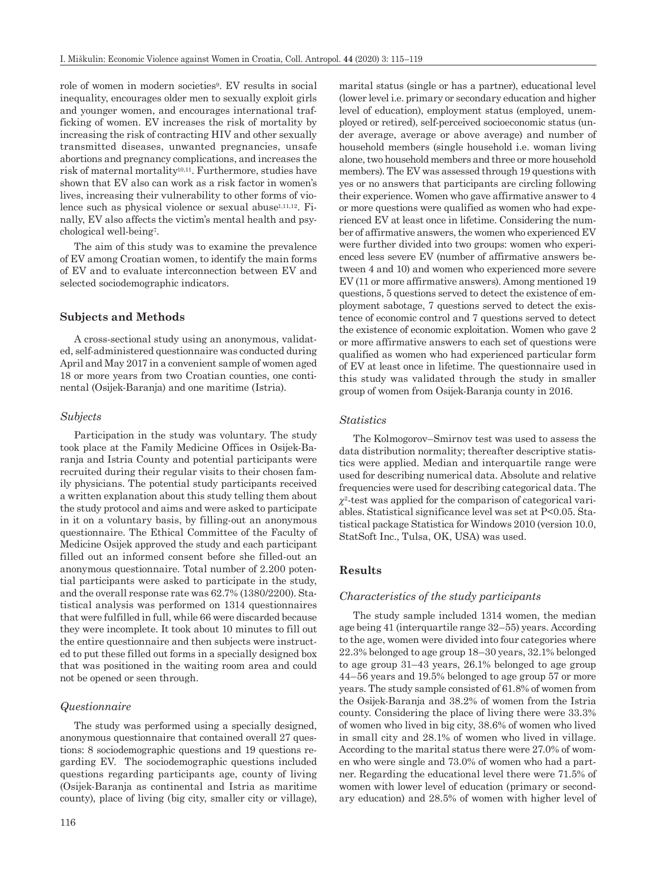role of women in modern societies9. EV results in social inequality, encourages older men to sexually exploit girls and younger women, and encourages international trafficking of women. EV increases the risk of mortality by increasing the risk of contracting HIV and other sexually transmitted diseases, unwanted pregnancies, unsafe abortions and pregnancy complications, and increases the risk of maternal mortality10,11. Furthermore, studies have shown that EV also can work as a risk factor in women's lives, increasing their vulnerability to other forms of violence such as physical violence or sexual abuse<sup>1,11,12</sup>. Finally, EV also affects the victim's mental health and psychological well-being7.

The aim of this study was to examine the prevalence of EV among Croatian women, to identify the main forms of EV and to evaluate interconnection between EV and selected sociodemographic indicators.

#### **Subjects and Methods**

A cross-sectional study using an anonymous, validated, self-administered questionnaire was conducted during April and May 2017 in a convenient sample of women aged 18 or more years from two Croatian counties, one continental (Osijek-Baranja) and one maritime (Istria).

#### *Subjects*

Participation in the study was voluntary. The study took place at the Family Medicine Offices in Osijek-Baranja and Istria County and potential participants were recruited during their regular visits to their chosen family physicians. The potential study participants received a written explanation about this study telling them about the study protocol and aims and were asked to participate in it on a voluntary basis, by filling-out an anonymous questionnaire. The Ethical Committee of the Faculty of Medicine Osijek approved the study and each participant filled out an informed consent before she filled-out an anonymous questionnaire. Total number of 2.200 potential participants were asked to participate in the study, and the overall response rate was 62.7% (1380/2200). Statistical analysis was performed on 1314 questionnaires that were fulfilled in full, while 66 were discarded because they were incomplete. It took about 10 minutes to fill out the entire questionnaire and then subjects were instructed to put these filled out forms in a specially designed box that was positioned in the waiting room area and could not be opened or seen through.

### *Questionnaire*

The study was performed using a specially designed, anonymous questionnaire that contained overall 27 questions: 8 sociodemographic questions and 19 questions regarding EV. The sociodemographic questions included questions regarding participants age, county of living (Osijek-Baranja as continental and Istria as maritime county), place of living (big city, smaller city or village),

116

marital status (single or has a partner), educational level (lower level i.e. primary or secondary education and higher level of education), employment status (employed, unemployed or retired), self-perceived socioeconomic status (under average, average or above average) and number of household members (single household i.e. woman living alone, two household members and three or more household members). The EV was assessed through 19 questions with yes or no answers that participants are circling following their experience. Women who gave affirmative answer to 4 or more questions were qualified as women who had experienced EV at least once in lifetime. Considering the number of affirmative answers, the women who experienced EV were further divided into two groups: women who experienced less severe EV (number of affirmative answers between 4 and 10) and women who experienced more severe EV (11 or more affirmative answers). Among mentioned 19 questions, 5 questions served to detect the existence of employment sabotage, 7 questions served to detect the existence of economic control and 7 questions served to detect the existence of economic exploitation. Women who gave 2 or more affirmative answers to each set of questions were qualified as women who had experienced particular form of EV at least once in lifetime. The questionnaire used in this study was validated through the study in smaller group of women from Osijek-Baranja county in 2016.

#### *Statistics*

The Kolmogorov–Smirnov test was used to assess the data distribution normality; thereafter descriptive statistics were applied. Median and interquartile range were used for describing numerical data. Absolute and relative frequencies were used for describing categorical data. The  $\chi^2$ -test was applied for the comparison of categorical variables. Statistical significance level was set at P<0.05. Statistical package Statistica for Windows 2010 (version 10.0, StatSoft Inc., Tulsa, OK, USA) was used.

#### **Results**

#### *Characteristics of the study participants*

The study sample included 1314 women, the median age being 41 (interquartile range 32–55) years. According to the age, women were divided into four categories where 22.3% belonged to age group 18–30 years, 32.1% belonged to age group 31–43 years, 26.1% belonged to age group 44–56 years and 19.5% belonged to age group 57 or more years. The study sample consisted of 61.8% of women from the Osijek-Baranja and 38.2% of women from the Istria county. Considering the place of living there were 33.3% of women who lived in big city, 38.6% of women who lived in small city and 28.1% of women who lived in village. According to the marital status there were 27.0% of women who were single and 73.0% of women who had a partner. Regarding the educational level there were 71.5% of women with lower level of education (primary or secondary education) and 28.5% of women with higher level of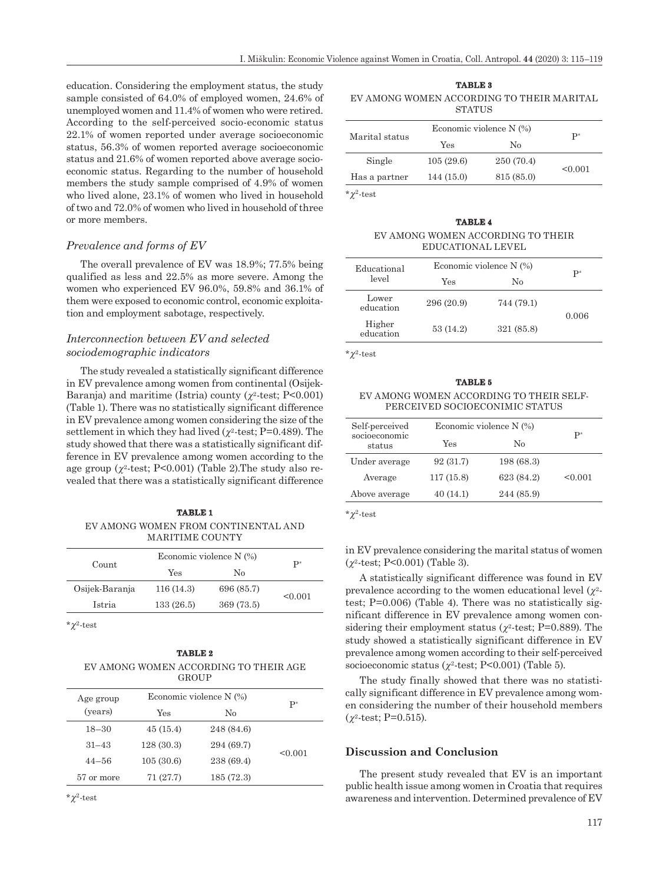education. Considering the employment status, the study sample consisted of 64.0% of employed women, 24.6% of unemployed women and 11.4% of women who were retired. According to the self-perceived socio-economic status 22.1% of women reported under average socioeconomic status, 56.3% of women reported average socioeconomic status and 21.6% of women reported above average socioeconomic status. Regarding to the number of household members the study sample comprised of 4.9% of women who lived alone, 23.1% of women who lived in household of two and 72.0% of women who lived in household of three or more members.

## *Prevalence and forms of EV*

The overall prevalence of EV was 18.9%; 77.5% being qualified as less and 22.5% as more severe. Among the women who experienced EV 96.0%, 59.8% and 36.1% of them were exposed to economic control, economic exploitation and employment sabotage, respectively.

## *Interconnection between EV and selected sociodemographic indicators*

The study revealed a statistically significant difference in EV prevalence among women from continental (Osijek-Baranja) and maritime (Istria) county  $(\chi^2$ -test; P<0.001) (Table 1). There was no statistically significant difference in EV prevalence among women considering the size of the settlement in which they had lived  $(\chi^2$ -test; P=0.489). The study showed that there was a statistically significant difference in EV prevalence among women according to the age group  $(\gamma^2$ -test; P<0.001) (Table 2). The study also revealed that there was a statistically significant difference

## **TABLE 1** EV AMONG WOMEN FROM CONTINENTAL AND MARITIME COUNTY

| Economic violence N (%) |            | P*      |
|-------------------------|------------|---------|
| Yes                     | No         |         |
| 116(14.3)               | 696 (85.7) | < 0.001 |
| 133(26.5)               | 369 (73.5) |         |
|                         |            |         |

\**c*2-test

#### **TABLE 2** EV AMONG WOMEN ACCORDING TO THEIR AGE **GROUP**

| Age group  | Economic violence N (%) |            | $\mathbf{P}^*$ |
|------------|-------------------------|------------|----------------|
| (years)    | Yes                     | No         |                |
| $18 - 30$  | 45(15.4)                | 248 (84.6) |                |
| $31 - 43$  | 128(30.3)               | 294 (69.7) |                |
| $44 - 56$  | 105(30.6)               | 238 (69.4) | < 0.001        |
| 57 or more | 71 (27.7)               | 185(72.3)  |                |

 $*^2$ -test

**TABLE 3** EV AMONG WOMEN ACCORDING TO THEIR MARITAL **STATUS** 

|                | Economic violence N (%) |            |                |
|----------------|-------------------------|------------|----------------|
| Marital status | Yes                     | Nο         | $\mathbf{P}^*$ |
| Single         | 105(29.6)               | 250 (70.4) | < 0.001        |
| Has a partner  | 144(15.0)               | 815 (85.0) |                |

 $*^2$ -test

**TABLE 4** EV AMONG WOMEN ACCORDING TO THEIR EDUCATIONAL LEVEL

| Educational         | Economic violence $N(\%)$ |            | $P^*$ |
|---------------------|---------------------------|------------|-------|
| level               | Yes                       | No         |       |
| Lower<br>education  | 296 (20.9)                | 744 (79.1) | 0.006 |
| Higher<br>education | 53 (14.2)                 | 321 (85.8) |       |

 $*^2$ -test

| TABLE 5                                 |  |  |  |
|-----------------------------------------|--|--|--|
| EV AMONG WOMEN ACCORDING TO THEIR SELF- |  |  |  |
| PERCEIVED SOCIOECONIMIC STATUS          |  |  |  |

| Self-perceived          | Economic violence N (%) |            |                |
|-------------------------|-------------------------|------------|----------------|
| socioeconomic<br>status | Yes                     | No         | $\mathbf{p}^*$ |
| Under average           | 92(31.7)                | 198 (68.3) |                |
| Average                 | 117(15.8)               | 623 (84.2) | < 0.001        |
| Above average           | 40(14.1)                | 244 (85.9) |                |

 $*^2$ -test

in EV prevalence considering the marital status of women (*c*2-test; P<0.001) (Table 3).

A statistically significant difference was found in EV prevalence according to the women educational level  $(\chi^2$ test; P=0.006) (Table 4). There was no statistically significant difference in EV prevalence among women considering their employment status ( $\gamma^2$ -test; P=0.889). The study showed a statistically significant difference in EV prevalence among women according to their self-perceived socioeconomic status  $(\chi^2$ -test; P<0.001) (Table 5).

The study finally showed that there was no statistically significant difference in EV prevalence among women considering the number of their household members  $(\gamma^2$ -test; P=0.515).

## **Discussion and Conclusion**

The present study revealed that EV is an important public health issue among women in Croatia that requires awareness and intervention. Determined prevalence of EV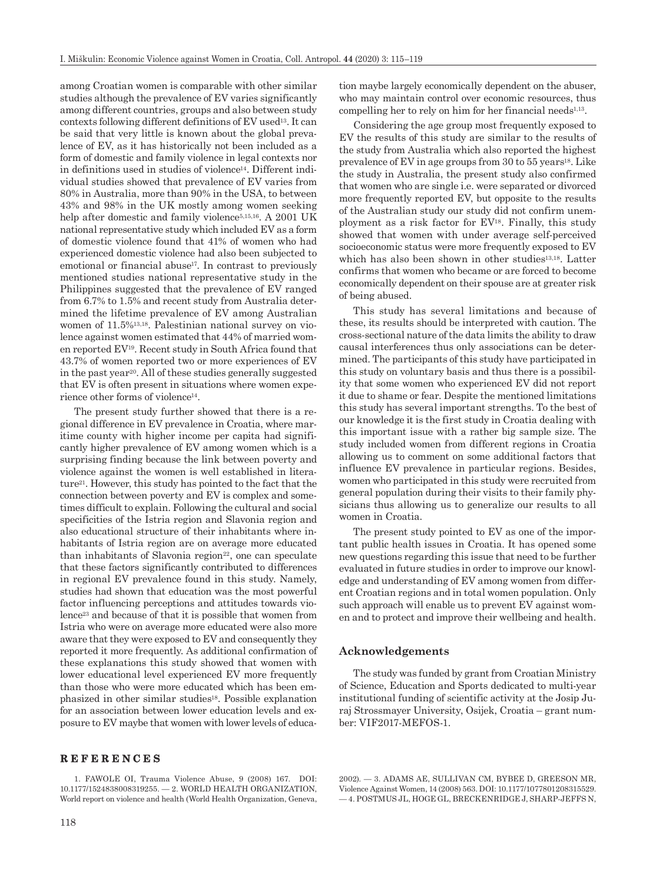among Croatian women is comparable with other similar studies although the prevalence of EV varies significantly among different countries, groups and also between study contexts following different definitions of EV used13. It can be said that very little is known about the global prevalence of EV, as it has historically not been included as a form of domestic and family violence in legal contexts nor in definitions used in studies of violence<sup>14</sup>. Different individual studies showed that prevalence of EV varies from 80% in Australia, more than 90% in the USA, to between 43% and 98% in the UK mostly among women seeking help after domestic and family violence<sup>5,15,16</sup>. A 2001 UK national representative study which included EV as a form of domestic violence found that 41% of women who had experienced domestic violence had also been subjected to emotional or financial abuse<sup>17</sup>. In contrast to previously mentioned studies national representative study in the Philippines suggested that the prevalence of EV ranged from 6.7% to 1.5% and recent study from Australia determined the lifetime prevalence of EV among Australian women of 11.5%13,18. Palestinian national survey on violence against women estimated that 44% of married women reported EV19. Recent study in South Africa found that 43.7% of women reported two or more experiences of EV in the past year20. All of these studies generally suggested that EV is often present in situations where women experience other forms of violence14.

The present study further showed that there is a regional difference in EV prevalence in Croatia, where maritime county with higher income per capita had significantly higher prevalence of EV among women which is a surprising finding because the link between poverty and violence against the women is well established in literature21. However, this study has pointed to the fact that the connection between poverty and EV is complex and sometimes difficult to explain. Following the cultural and social specificities of the Istria region and Slavonia region and also educational structure of their inhabitants where inhabitants of Istria region are on average more educated than inhabitants of Slavonia region $22$ , one can speculate that these factors significantly contributed to differences in regional EV prevalence found in this study. Namely, studies had shown that education was the most powerful factor influencing perceptions and attitudes towards violence23 and because of that it is possible that women from Istria who were on average more educated were also more aware that they were exposed to EV and consequently they reported it more frequently. As additional confirmation of these explanations this study showed that women with lower educational level experienced EV more frequently than those who were more educated which has been emphasized in other similar studies18. Possible explanation for an association between lower education levels and exposure to EV maybe that women with lower levels of educa-

### **REFERENCES**

1. FAWOLE OI, Trauma Violence Abuse, 9 (2008) 167. DOI: 10.1177/1524838008319255. — 2. WORLD HEALTH ORGANIZATION, World report on violence and health (World Health Organization, Geneva, tion maybe largely economically dependent on the abuser, who may maintain control over economic resources, thus compelling her to rely on him for her financial needs $1,13$ .

Considering the age group most frequently exposed to EV the results of this study are similar to the results of the study from Australia which also reported the highest prevalence of EV in age groups from  $30$  to  $55$  years<sup>18</sup>. Like the study in Australia, the present study also confirmed that women who are single i.e. were separated or divorced more frequently reported EV, but opposite to the results of the Australian study our study did not confirm unemployment as a risk factor for EV18. Finally, this study showed that women with under average self-perceived socioeconomic status were more frequently exposed to EV which has also been shown in other studies<sup>13,18</sup>. Latter confirms that women who became or are forced to become economically dependent on their spouse are at greater risk of being abused.

This study has several limitations and because of these, its results should be interpreted with caution. The cross-sectional nature of the data limits the ability to draw causal interferences thus only associations can be determined. The participants of this study have participated in this study on voluntary basis and thus there is a possibility that some women who experienced EV did not report it due to shame or fear. Despite the mentioned limitations this study has several important strengths. To the best of our knowledge it is the first study in Croatia dealing with this important issue with a rather big sample size. The study included women from different regions in Croatia allowing us to comment on some additional factors that influence EV prevalence in particular regions. Besides, women who participated in this study were recruited from general population during their visits to their family physicians thus allowing us to generalize our results to all women in Croatia.

The present study pointed to EV as one of the important public health issues in Croatia. It has opened some new questions regarding this issue that need to be further evaluated in future studies in order to improve our knowledge and understanding of EV among women from different Croatian regions and in total women population. Only such approach will enable us to prevent EV against women and to protect and improve their wellbeing and health.

#### **Acknowledgements**

The study was funded by grant from Croatian Ministry of Science, Education and Sports dedicated to multi-year institutional funding of scientific activity at the Josip Juraj Strossmayer University, Osijek, Croatia – grant number: VIF2017-MEFOS-1.

2002). — 3. ADAMS AE, SULLIVAN CM, BYBEE D, GREESON MR, Violence Against Women, 14 (2008) 563. DOI: 10.1177/1077801208315529. — 4. POSTMUS JL, HOGE GL, BRECKENRIDGE J, SHARP-JEFFS N,